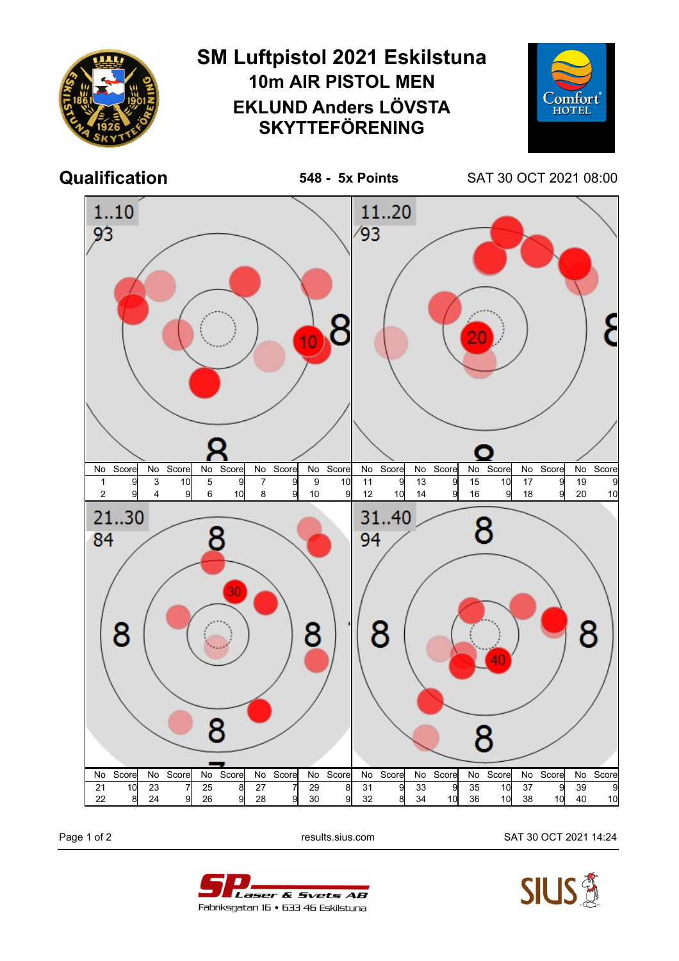

Page 1 of 2 results.sius.com SAT 30 OCT 2021 14:24



Laser & Svets AB Fabriksgatan 16 • 633 46 Eskilstuna